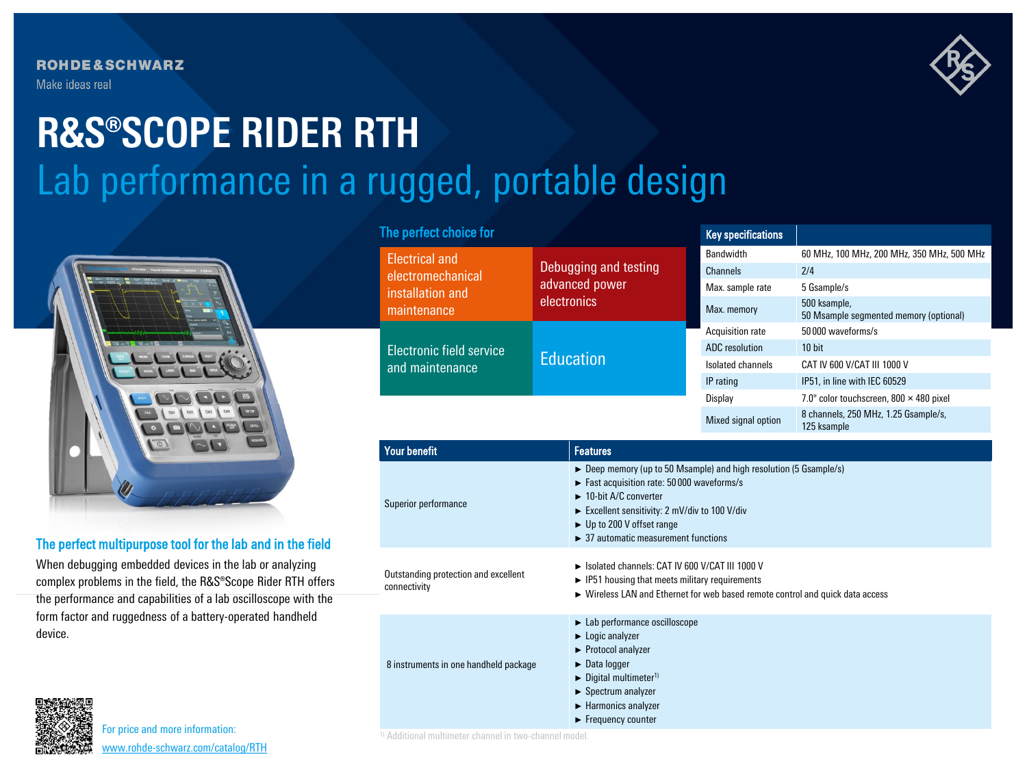

## Lab performance in a rugged, portable design **R&S®SCOPE RIDER RTH**



## The perfect multipurpose tool for the lab and in the field

When debugging embedded devices in the lab or analyzing complex problems in the field, the R&S®Scope Rider RTH offers the performance and capabilities of a lab oscilloscope with the form factor and ruggedness of a battery-operated handheld device.

## The perfect choice for

| <b>Electrical and</b><br>electromechanical<br>installation and |                                                                                                                                                                                                                                                                                                         |                                                                                                                                                                                                         | Bandwidth             | 60 MHz, 100 MHz, 200 MHz, 350 MHz, 500 MHz             |  |
|----------------------------------------------------------------|---------------------------------------------------------------------------------------------------------------------------------------------------------------------------------------------------------------------------------------------------------------------------------------------------------|---------------------------------------------------------------------------------------------------------------------------------------------------------------------------------------------------------|-----------------------|--------------------------------------------------------|--|
|                                                                | Debugging and testing<br>advanced power<br>electronics                                                                                                                                                                                                                                                  |                                                                                                                                                                                                         | <b>Channels</b>       | 2/4                                                    |  |
|                                                                |                                                                                                                                                                                                                                                                                                         |                                                                                                                                                                                                         | Max. sample rate      | 5 Gsample/s                                            |  |
| maintenance                                                    |                                                                                                                                                                                                                                                                                                         |                                                                                                                                                                                                         | Max. memory           | 500 ksample,<br>50 Msample segmented memory (optional) |  |
| Electronic field service<br>and maintenance                    | <b>Education</b>                                                                                                                                                                                                                                                                                        |                                                                                                                                                                                                         | Acquisition rate      | 50000 waveforms/s                                      |  |
|                                                                |                                                                                                                                                                                                                                                                                                         |                                                                                                                                                                                                         | <b>ADC</b> resolution | $10$ bit                                               |  |
|                                                                |                                                                                                                                                                                                                                                                                                         |                                                                                                                                                                                                         | Isolated channels     | CAT IV 600 V/CAT III 1000 V                            |  |
|                                                                |                                                                                                                                                                                                                                                                                                         |                                                                                                                                                                                                         | IP rating             | IP51, in line with IEC 60529                           |  |
|                                                                |                                                                                                                                                                                                                                                                                                         |                                                                                                                                                                                                         | <b>Display</b>        | 7.0" color touchscreen, 800 x 480 pixel                |  |
|                                                                |                                                                                                                                                                                                                                                                                                         |                                                                                                                                                                                                         | Mixed signal option   | 8 channels, 250 MHz, 1.25 Gsample/s,<br>125 ksample    |  |
| <b>Your benefit</b>                                            |                                                                                                                                                                                                                                                                                                         | <b>Features</b>                                                                                                                                                                                         |                       |                                                        |  |
| Superior performance                                           | ► Deep memory (up to 50 Msample) and high resolution (5 Gsample/s)<br>$\blacktriangleright$ Fast acquisition rate: 50 000 waveforms/s<br>10-bit A/C converter<br>Excellent sensitivity: 2 mV/div to 100 V/div<br>► Up to 200 V offset range<br>$\blacktriangleright$ 37 automatic measurement functions |                                                                                                                                                                                                         |                       |                                                        |  |
| Outstanding protection and excellent<br>connectivity           |                                                                                                                                                                                                                                                                                                         | Isolated channels: CAT IV 600 V/CAT III 1000 V<br>$\blacktriangleright$ IP51 housing that meets military requirements<br>► Wireless LAN and Ethernet for web based remote control and quick data access |                       |                                                        |  |
| 8 instruments in one handheld package                          | $\blacktriangleright$ Lab performance oscilloscope<br>$\blacktriangleright$ Logic analyzer<br>▶ Protocol analyzer<br>$\triangleright$ Data logger                                                                                                                                                       |                                                                                                                                                                                                         |                       |                                                        |  |

Key specifications

 $\blacktriangleright$  Digital multimeter<sup>1)</sup> ► Spectrum analyzer ► Harmonics analyzer ► Frequency counter



For price and more information: [www.rohde-schwarz.com/catalog/RTH](http://www.rohde-schwarz.com/catalog/RTH)

1) Additional multimeter channel in two-channel model.